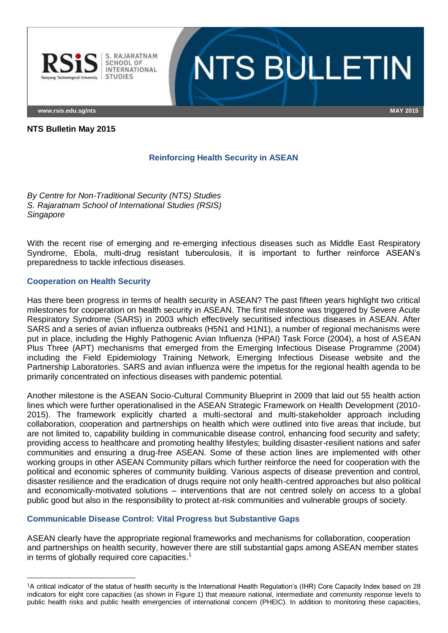

**www.rsis.edu.sg/nts MAY 2015**

## **NTS Bulletin May 2015**

# **Reinforcing Health Security in ASEAN**

**NTS BULLETIN** 

*By Centre for Non-Traditional Security (NTS) Studies S. Rajaratnam School of International Studies (RSIS) Singapore*

With the recent rise of emerging and re-emerging infectious diseases such as Middle East Respiratory Syndrome, Ebola, multi-drug resistant tuberculosis, it is important to further reinforce ASEAN"s preparedness to tackle infectious diseases.

## **Cooperation on Health Security**

 $\overline{a}$ 

Has there been progress in terms of health security in ASEAN? The past fifteen years highlight two critical milestones for cooperation on health security in ASEAN. The first milestone was triggered by Severe Acute Respiratory Syndrome (SARS) in 2003 which effectively securitised infectious diseases in ASEAN. After SARS and a series of avian influenza outbreaks (H5N1 and H1N1), a number of regional mechanisms were put in place, including the Highly Pathogenic Avian Influenza (HPAI) Task Force (2004), a host of ASEAN Plus Three (APT) mechanisms that emerged from the Emerging Infectious Disease Programme (2004) including the Field Epidemiology Training Network, Emerging Infectious Disease website and the Partnership Laboratories. SARS and avian influenza were the impetus for the regional health agenda to be primarily concentrated on infectious diseases with pandemic potential.

Another milestone is the ASEAN Socio-Cultural Community Blueprint in 2009 that laid out 55 health action lines which were further operationalised in the ASEAN Strategic Framework on Health Development (2010- 2015). The framework explicitly charted a multi-sectoral and multi-stakeholder approach including collaboration, cooperation and partnerships on health which were outlined into five areas that include, but are not limited to, capability building in communicable disease control, enhancing food security and safety; providing access to healthcare and promoting healthy lifestyles; building disaster-resilient nations and safer communities and ensuring a drug-free ASEAN. Some of these action lines are implemented with other working groups in other ASEAN Community pillars which further reinforce the need for cooperation with the political and economic spheres of community building. Various aspects of disease prevention and control, disaster resilience and the eradication of drugs require not only health-centred approaches but also political and economically-motivated solutions – interventions that are not centred solely on access to a global public good but also in the responsibility to protect at-risk communities and vulnerable groups of society.

# **Communicable Disease Control: Vital Progress but Substantive Gaps**

ASEAN clearly have the appropriate regional frameworks and mechanisms for collaboration, cooperation and partnerships on health security, however there are still substantial gaps among ASEAN member states in terms of globally required core capacities.<sup>1</sup>

<sup>1</sup>A critical indicator of the status of health security is the International Health Regulation"s (IHR) Core Capacity Index based on 28 indicators for eight core capacities (as shown in Figure 1) that measure national, intermediate and community response levels to public health risks and public health emergencies of international concern (PHEIC). In addition to monitoring these capacities,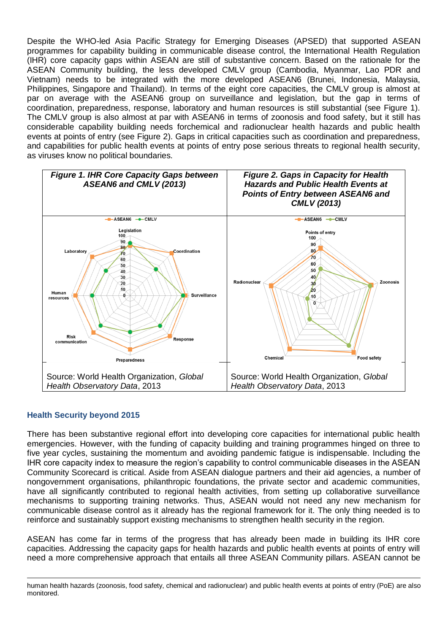Despite the WHO-led Asia Pacific Strategy for Emerging Diseases (APSED) that supported ASEAN programmes for capability building in communicable disease control, the International Health Regulation (IHR) core capacity gaps within ASEAN are still of substantive concern. Based on the rationale for the ASEAN Community building, the less developed CMLV group (Cambodia, Myanmar, Lao PDR and Vietnam) needs to be integrated with the more developed ASEAN6 (Brunei, Indonesia, Malaysia, Philippines, Singapore and Thailand). In terms of the eight core capacities, the CMLV group is almost at par on average with the ASEAN6 group on surveillance and legislation, but the gap in terms of coordination, preparedness, response, laboratory and human resources is still substantial (see Figure 1). The CMLV group is also almost at par with ASEAN6 in terms of zoonosis and food safety, but it still has considerable capability building needs forchemical and radionuclear health hazards and public health events at points of entry (see Figure 2). Gaps in critical capacities such as coordination and preparedness, and capabilities for public health events at points of entry pose serious threats to regional health security, as viruses know no political boundaries.



#### **Health Security beyond 2015**

There has been substantive regional effort into developing core capacities for international public health emergencies. However, with the funding of capacity building and training programmes hinged on three to five year cycles, sustaining the momentum and avoiding pandemic fatigue is indispensable. Including the IHR core capacity index to measure the region"s capability to control communicable diseases in the ASEAN Community Scorecard is critical. Aside from ASEAN dialogue partners and their aid agencies, a number of nongovernment organisations, philanthropic foundations, the private sector and academic communities, have all significantly contributed to regional health activities, from setting up collaborative surveillance mechanisms to supporting training networks. Thus, ASEAN would not need any new mechanism for communicable disease control as it already has the regional framework for it. The only thing needed is to reinforce and sustainably support existing mechanisms to strengthen health security in the region.

ASEAN has come far in terms of the progress that has already been made in building its IHR core capacities. Addressing the capacity gaps for health hazards and public health events at points of entry will need a more comprehensive approach that entails all three ASEAN Community pillars. ASEAN cannot be

 $\overline{a}$ human health hazards (zoonosis, food safety, chemical and radionuclear) and public health events at points of entry (PoE) are also monitored.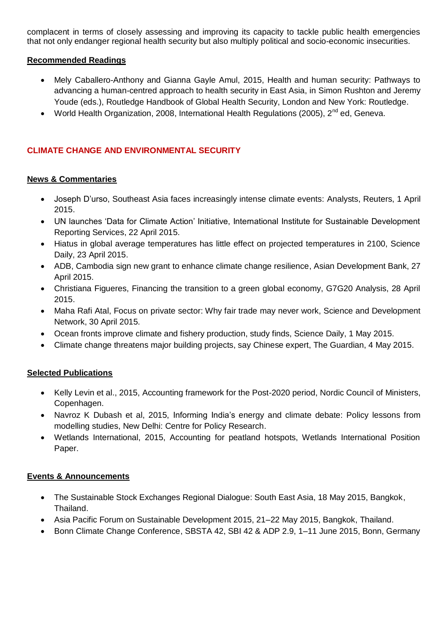complacent in terms of closely assessing and improving its capacity to tackle public health emergencies that not only endanger regional health security but also multiply political and socio-economic insecurities.

### **Recommended Readings**

- [Mely Caballero-Anthony and Gianna Gayle Amul, 2015, Health and human security: Pathways to](http://www.rsis.edu.sg/staff-publication/863-health-and-human-security-pa/#.VVGTZvmqqko)  [advancing a human-centred approach to health security in East Asia, in Simon Rushton and Jeremy](http://www.rsis.edu.sg/staff-publication/863-health-and-human-security-pa/#.VVGTZvmqqko)  [Youde \(eds.\), Routledge Handbook of Global Health Security, London and New York: Routledge.](http://www.rsis.edu.sg/staff-publication/863-health-and-human-security-pa/#.VVGTZvmqqko)
- World Health Organization, 2008, [International Health Regulations \(2005\), 2](http://whqlibdoc.who.int/publications/2008/9789241580410_eng.pdf)<sup>nd</sup> ed, Geneva.

# **CLIMATE CHANGE AND ENVIRONMENTAL SECURITY**

## **News & Commentaries**

- Joseph D'urso, Southeast Asia faces increasingly intense climate events: Analysts, Reuters, 1 April [2015.](http://www.reuters.com/article/2015/04/01/us-climatechange-events-asia-idUSKBN0MS5IR20150401)
- [UN launches "Data for Climate Action" Initiative, International Institute for Sustainable Development](http://climate-l.iisd.org/news/un-launches-data-for-climate-action-initiative/)  [Reporting Services](http://climate-l.iisd.org/news/un-launches-data-for-climate-action-initiative/), 22 April 2015.
- [Hiatus in global average temperatures has little effect on projected temperatures in 2100, Science](http://www.sciencedaily.com/releases/2015/04/150423130203.htm)  [Daily, 23 April 2015.](http://www.sciencedaily.com/releases/2015/04/150423130203.htm)
- [ADB, Cambodia sign new grant to enhance climate change resilience, Asian Development Bank, 27](http://www.adb.org/news/adb-cambodia-sign-new-grant-enhance-climate-change-resilience)  [April 2015.](http://www.adb.org/news/adb-cambodia-sign-new-grant-enhance-climate-change-resilience)
- Christiana Figueres, [Financing the transition to a green global economy, G7G20 Analysis, 28 April](http://www.g7g20.com/articles/christiana-figueres-financing-the-transition-to-a-green-global-economy)  [2015.](http://www.g7g20.com/articles/christiana-figueres-financing-the-transition-to-a-green-global-economy)
- [Maha Rafi Atal, Focus on private sector: Why fair trade may never work, Science and Development](http://www.scidev.net/global/trade/analysis-blog/private-sector-fair-trade-sustainable-consumption.html)  [Network, 30 April 2015.](http://www.scidev.net/global/trade/analysis-blog/private-sector-fair-trade-sustainable-consumption.html)
- [Ocean fronts improve climate and fishery production, study finds, Science Daily, 1 May 2015.](http://www.sciencedaily.com/releases/2015/05/150501182116.htm)
- [Climate change threatens major building projects, say Chinese expert, The Guardian, 4 May 2015.](http://www.theguardian.com/world/2015/may/04/climate-change-threatens-major-building-projects-says-chinese-expert)

# **Selected Publications**

- Kelly Levin et al., 2015, [Accounting framework for the Post-2020 period,](http://norden.diva-portal.org/smash/record.jsf?pid=diva2%3A799242&dswid=-9176) Nordic Council of Ministers, [Copenhagen.](http://norden.diva-portal.org/smash/record.jsf?pid=diva2%3A799242&dswid=-9176)
- Navroz K Dubash et al, 2015, Informing India's energy and climate debate: Policy lessons from modelling studies, [New Delhi: Centre for Policy Research.](http://www.mapsprogramme.org/wp-content/uploads/Informing-Indias-Energy-and-Climate-Debate_CPR-IIASA.pdf)
- [Wetlands International, 2015, Accounting for peatland hotspots, Wetlands International Position](http://www.wetlands.org/WatchRead/Currentpublications/tabid/56/ArticleType/ArticleView/ArticleID/3657/Default.aspx)  [Paper.](http://www.wetlands.org/WatchRead/Currentpublications/tabid/56/ArticleType/ArticleView/ArticleID/3657/Default.aspx)

#### **Events & Announcements**

- [The Sustainable Stock Exchanges Regional Dialogue: South East Asia, 18 May 2015, Bangkok,](http://www.sseinitiative.org/home-slider/2015-regional-dialogue-south-east-asia-2/)  [Thailand.](http://www.sseinitiative.org/home-slider/2015-regional-dialogue-south-east-asia-2/)
- [Asia Pacific Forum on Sustainable Development 2015, 21–22 May 2015, Bangkok, Thailand.](http://www.unescap.org/events/apfsd2)
- [Bonn Climate Change Conference, SBSTA 42, SBI 42 & ADP 2.9, 1–11 June 2015, Bonn, Germany](https://unfccc.int/files/meetings/bonn_jun_2015/application/pdf/sb_42_overview_schedule.pdf)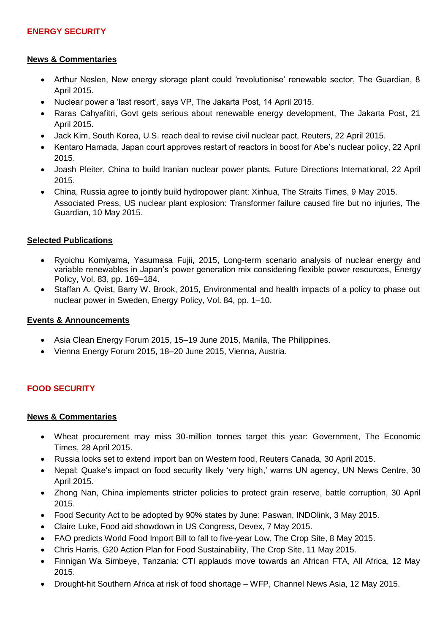## **News & Commentaries**

- Arthur Neslen, New energy storage plant could 'revolutionise' renewable sector, The Guardian, 8 [April 2015.](http://www.theguardian.com/environment/2015/apr/08/new-energy-storage-plant-could-revolutionise-renewable-sector)
- [Nuclear power a "last resort", says VP, The Jakarta Post, 14 April 2015.](http://www.thejakartapost.com/news/2015/04/14/nuclear-power-a-last-resort-says-vp.html)
- Raras Cahyafitri, Govt gets serious about renewable energy development, The Jakarta Post, 21 [April 2015.](http://www.thejakartapost.com/news/2015/04/21/govt-gets-serious-about-renewable-energy-development.html)
- [Jack Kim, South Korea, U.S. reach deal to revise civil nuclear pact, Reuters, 22 April 2015.](http://www.reuters.com/article/2015/04/22/us-southkorea-usa-nuclear-idUSKBN0ND08R20150422)
- [Kentaro Hamada, Japan court approves restart of reactors in boost for Abe"s nuclear policy, 22 April](http://www.reuters.com/article/2015/04/22/us-japan-nuclear-courts-idUSKBN0NC1QD20150422)  [2015.](http://www.reuters.com/article/2015/04/22/us-japan-nuclear-courts-idUSKBN0NC1QD20150422)
- Joash [Pleiter, China to build Iranian nuclear power plants, Future Directions International, 22 April](http://www.futuredirections.org.au/publications/indian-ocean/29-indian-ocean-swa/2231-china-to-build-iranian-nuclear-power-plants.html)  [2015.](http://www.futuredirections.org.au/publications/indian-ocean/29-indian-ocean-swa/2231-china-to-build-iranian-nuclear-power-plants.html)
- [China, Russia agree to jointly build hydropower plant: Xinhua, The Straits Times, 9 May 2015.](http://www.straitstimes.com/news/asia/east-asia/story/china-russia-agree-jointly-build-hydropower-plant-xinhua-20150509) [Associated Press, US nuclear plant explosion: Transformer failure caused fire but no injuries, The](http://www.theguardian.com/us-news/2015/may/10/us-nuclear-plant-shuts-down-after-fire)  [Guardian, 10 May 2015.](http://www.theguardian.com/us-news/2015/may/10/us-nuclear-plant-shuts-down-after-fire)

## **Selected Publications**

- Ryoichu Komiyama, Yasumasa [Fujii, 2015, Long-term scenario analysis of nuclear energy and](http://www.sciencedirect.com/science/article/pii/S0301421515001470)  [variable renewables in Japan"s power generation mix considering flexible power resources,](http://www.sciencedirect.com/science/article/pii/S0301421515001470) Energy [Policy, Vol. 83, pp. 169–184.](http://www.sciencedirect.com/science/article/pii/S0301421515001470)
- [Staffan A. Qvist, Barry W. Brook, 2015, Environmental and health impacts of a policy to phase out](http://www.sciencedirect.com/science/article/pii/S0301421515001470)  nuclear power in Sweden, Energy Policy, Vol. 84, pp. 1–10.

#### **Events & Announcements**

- [Asia Clean Energy Forum 2015, 15–19 June 2015, Manila, The Philippines.](http://www.asiacleanenergyforum.org/)
- [Vienna Energy Forum 2015, 18–20 June 2015, Vienna, Austria.](http://www.asiacleanenergyforum.org/)

# **FOOD SECURITY**

#### **News & Commentaries**

- [Wheat procurement may miss 30-million tonnes target this year: Government, The Economic](http://articles.economictimes.indiatimes.com/2015-04-28/news/61615778_1_wheat-procurement-food-grains-paswan)  [Times, 28 April 2015.](http://articles.economictimes.indiatimes.com/2015-04-28/news/61615778_1_wheat-procurement-food-grains-paswan)
- [Russia looks set to extend import ban on Western food, Reuters Canada, 30 April 2015.](http://ca.reuters.com/article/topNews/idCAKBN0NL1G220150430)
- Nepal: Quake's impact on food security likely 'very high,' warns UN agency, UN News Centre, 30 [April 2015.](http://www.un.org/apps/news/story.asp?NewsID=50736#.VVIhW46qqko)
- [Zhong Nan, China implements stricter policies to protect grain reserve, battle corruption, 30 April](http://news.asiaone.com/news/asia/china-implements-stricter-policies-protect-grain-reserve-battle-corruption)  [2015.](http://news.asiaone.com/news/asia/china-implements-stricter-policies-protect-grain-reserve-battle-corruption)
- [Food Security Act to be adopted by 90% states by June: Paswan, INDOlink, 3 May 2015.](http://www.indolink.com/displayArticleS.php?id=050215101339)
- [Claire Luke, Food aid showdown in US Congress, Devex, 7 May 2015.](https://www.devex.com/news/food-aid-showdown-in-us-congress-86079)
- [FAO predicts World Food Import Bill to fall to five-year Low, The Crop Site, 8 May 2015.](http://www.thecropsite.com/news/17590/fao-predicts-world-food-import-bill-to-fall-to-fiveyear-low/)
- [Chris Harris, G20 Action Plan for Food Sustainability, The Crop Site, 11 May 2015.](http://www.thecropsite.com/news/17592/g20-action-plan-for-food-sustainability/)
- Finnigan Wa Simbeye, Tanzania: CTI applauds move towards an African FTA, All Africa, 12 May [2015.](http://allafrica.com/stories/201505120193.html)
- [Drought-hit Southern Africa at risk of food shortage –](http://www.channelnewsasia.com/news/world/drought-hit-southern-afri/1840356.html) WFP, Channel News Asia, 12 May 2015.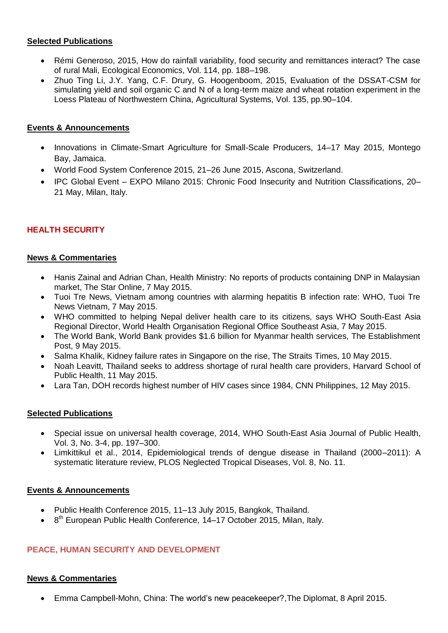## **Selected Publications**

- Rémi [Generoso, 2015, How do rainfall variability, food security and remittances interact? The case](http://www.sciencedirect.com/science/article/pii/S0921800915000944)  [of rural Mali, Ecological Economics, Vol. 114, pp. 188–198.](http://www.sciencedirect.com/science/article/pii/S0921800915000944)
- Zhuo Ting Li, J.Y. Yang, C.F. Drury, G. [Hoogenboom, 2015, Evaluation of the DSSAT-CSM for](http://www.sciencedirect.com.ezlibproxy1.ntu.edu.sg/science/article/pii/S0308521X14001747)  [simulating yield and soil organic C and N of a long-term maize and wheat rotation experiment in the](http://www.sciencedirect.com.ezlibproxy1.ntu.edu.sg/science/article/pii/S0308521X14001747)  [Loess Plateau of Northwestern China, Agricultural Systems, Vol. 135, pp.90–104.](http://www.sciencedirect.com.ezlibproxy1.ntu.edu.sg/science/article/pii/S0308521X14001747)

# **Events & Announcements**

- Innovations in Climate-Smart Agriculture for Small-Scale Producers, 14–17 May 2015, Montego [Bay, Jamaica.](http://hosted.vresp.com/1806401/4f16154d7d/548582881/f4bd5342c3/)
- World [Food System Conference 2015, 21–26 June 2015, Ascona, Switzerland.](http://www.wfsconference2015.org/)
- IPC Global Event [EXPO Milano 2015: Chronic Food Insecurity and Nutrition Classifications, 20–](http://www.fsincop.net/news-events/detail/en/c/282237/) [21 May, Milan, Italy.](http://www.fsincop.net/news-events/detail/en/c/282237/)

# **HEALTH SECURITY**

## **News & Commentaries**

- [Hanis Zainal and Adrian Chan, Health Ministry: No reports of products containing DNP in Malaysian](http://www.thestar.com.my/News/Nation/2015/05/07/Health-Ministry-no-reports-of-death/)  [market, The Star Online, 7 May 2015.](http://www.thestar.com.my/News/Nation/2015/05/07/Health-Ministry-no-reports-of-death/)
- [Tuoi Tre News, Vietnam among countries with alarming hepatitis B infection rate: WHO, Tuoi Tre](http://www.thestar.com.my/News/Nation/2015/05/07/Health-Ministry-no-reports-of-death/)  News Vietnam, 7 May 2015.
- [WHO committed to helping Nepal deliver health care to its](http://www.searo.who.int/mediacentre/releases/2015/pr1601/en/) citizens, says WHO South-East Asia [Regional Director, World Health Organisation Regional Office Southeast Asia, 7 May 2015.](http://www.searo.who.int/mediacentre/releases/2015/pr1601/en/)
- [The World Bank, World Bank provides \\$1.6 billion for Myanmar health services, The Establishment](http://www.establishmentpost.com/world-bank-provides-1-6-billion-myanmar-health-services/)  [Post, 9 May 2015.](http://www.establishmentpost.com/world-bank-provides-1-6-billion-myanmar-health-services/)
- [Salma Khalik, Kidney failure rates in Singapore on](http://www.straitstimes.com/news/singapore/health/story/kidney-failure-rates-singapore-the-rise-20150510) the rise, The Straits Times, 10 May 2015.
- [Noah Leavitt, Thailand seeks to address shortage of rural health care providers, Harvard School of](http://www.hsph.harvard.edu/news/features/thailand-seeks-to-address-shortage-of-rural-health-care-providers/)  [Public Health, 11 May 2015.](http://www.hsph.harvard.edu/news/features/thailand-seeks-to-address-shortage-of-rural-health-care-providers/)
- [Lara Tan, DOH records highest number of HIV cases since 1984, CNN Philippines, 12 May 2015.](http://cnnphilippines.com/news/2015/05/11/DOH-HIV-cases-at-its-highest-yet.html)

#### **Selected Publications**

- [Special issue on universal health coverage, 2014, WHO South-East Asia Journal of Public Health,](http://www.searo.who.int/publications/journals/seajph/en/)  [Vol. 3, No. 3-4, pp. 197–300.](http://www.searo.who.int/publications/journals/seajph/en/)
- [Limkittikul et al., 2014, Epidemiological trends of dengue disease in Thailand \(2000–2011\): A](http://www.searo.who.int/publications/journals/seajph/en/)  systematic literature review, PLOS Neglected Tropical Diseases, Vol. 8, No. 11.

#### **Events & Announcements**

- [Public Health Conference 2015, 11–13 July 2015, Bangkok, Thailand.](http://www.publichealth-conference.org/)
- [8](http://www.publichealth-conference.org/)<sup>th</sup> [European Public Health Conference,](http://www.publichealth-conference.org/) 14–17 October 2015, Milan, Italy.

# **PEACE, HUMAN SECURITY AND DEVELOPMENT**

#### **News & Commentaries**

[Emma Campbell-Mohn, China: The world"s new peacekeeper?,The Diplomat, 8 April 2015.](http://thediplomat.com/2015/04/china-the-worlds-new-peacekeeper/)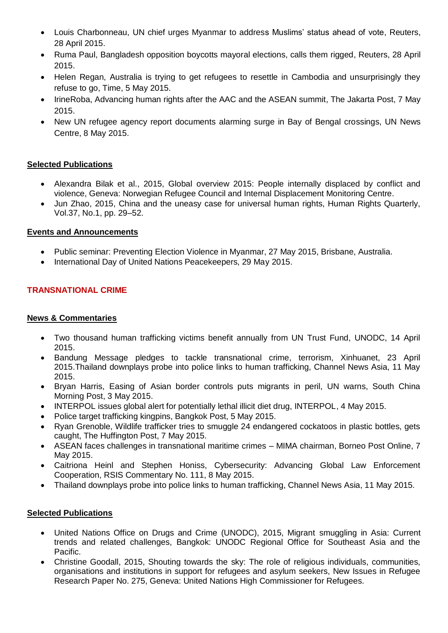- [Louis Charbonneau, UN chief urges Myanmar to address Muslims" status ahead of vote, Reuters,](http://www.reuters.com/article/2015/04/24/us-myanmar-un-idUSKBN0NF2DE20150424)  [28 April 2015.](http://www.reuters.com/article/2015/04/24/us-myanmar-un-idUSKBN0NF2DE20150424)
- [Ruma Paul, Bangladesh opposition boycotts mayoral elections, calls them rigged, Reuters, 28 April](http://www.reuters.com/article/2015/04/28/us-bangladesh-vote-idUSKBN0NJ0O720150428)  [2015.](http://www.reuters.com/article/2015/04/28/us-bangladesh-vote-idUSKBN0NJ0O720150428)
- [Helen Regan, Australia is trying to get refugees to resettle in Cambodia and unsurprisingly they](http://time.com/3829148/australia-nauru-refugees-asylum-seekers-resettle-cambodia-bribes/)  [refuse to go, Time, 5 May 2015.](http://time.com/3829148/australia-nauru-refugees-asylum-seekers-resettle-cambodia-bribes/)
- [IrineRoba, Advancing human rights after the AAC and the ASEAN summit, The Jakarta Post, 7 May](http://www.thejakartapost.com/news/2015/05/07/advancing-human-rights-after-aac-and-asean-summit.html)  [2015.](http://www.thejakartapost.com/news/2015/05/07/advancing-human-rights-after-aac-and-asean-summit.html)
- New UN refugee agency report documents [alarming surge in Bay of Bengal crossings, UN News](http://www.un.org/apps/news/story.asp?NewsID=50800#.VVF3GVWUcgk)  [Centre, 8 May 2015.](http://www.un.org/apps/news/story.asp?NewsID=50800#.VVF3GVWUcgk)

# **Selected Publications**

- [Alexandra Bilak et al., 2015, Global overview 2015: People internally displaced by conflict and](http://www.internal-displacement.org/assets/library/Media/201505-Global-Overview-2015/20150506-global-overview-2015-en.pdf)  [violence, Geneva: Norwegian Refugee Council and Internal Displacement Monitoring Centre.](http://www.internal-displacement.org/assets/library/Media/201505-Global-Overview-2015/20150506-global-overview-2015-en.pdf)
- [Jun Zhao, 2015, China and the uneasy case for universal human rights, Human Rights Quarterly,](http://muse.jhu.edu/login?auth=0&type=summary&url=/journals/human_rights_quarterly/v037/37.1.zhao.html) [Vol.37, No.1, pp. 29–52.](http://muse.jhu.edu/login?auth=0&type=summary&url=/journals/human_rights_quarterly/v037/37.1.zhao.html)

#### **Events and Announcements**

- [Public seminar: Preventing Election Violence in Myanmar, 27 May 2015, Brisbane, Australia.](http://www.r2pasiapacific.org/events-2015)
- [International Day of United Nations Peacekeepers, 29 May](http://www.un.org/en/peacekeeping/operations/pkday.shtml) 2015.

# **TRANSNATIONAL CRIME**

### **News & Commentaries**

- [Two thousand human trafficking victims benefit annually from UN Trust Fund, UNODC, 14 April](http://www.unodc.org/unodc/en/frontpage/2015/April/two-thousand-human-trafficking-victims-benefit-annually-from-un-trust-fund.html)  [2015.](http://www.unodc.org/unodc/en/frontpage/2015/April/two-thousand-human-trafficking-victims-benefit-annually-from-un-trust-fund.html)
- [Bandung Message pledges to tackle transnational crime, terrorism, Xinhuanet, 23 April](http://news.xinhuanet.com/english/2015-04/23/c_134178605.htm)  [2015.Thailand downplays probe into police links to human trafficking, Channel News Asia, 11 May](http://news.xinhuanet.com/english/2015-04/23/c_134178605.htm)  2015.
- [Bryan Harris, Easing of Asian border controls puts migrants in peril, UN warns, South China](http://www.scmp.com/news/hong-kong/law-crime/article/1784463/easing-asian-border-controls-puts-migrants-peril-un-warns)  [Morning Post, 3 May 2015.](http://www.scmp.com/news/hong-kong/law-crime/article/1784463/easing-asian-border-controls-puts-migrants-peril-un-warns)
- [INTERPOL issues global alert for potentially lethal illicit diet drug, INTERPOL, 4 May 2015.](http://www.interpol.int/News-and-media/News/2015/N2015-050)
- [Police target trafficking kingpins, Bangkok Post, 5 May 2015.](http://www.bangkokpost.com/news/crime/551395/police-target-trafficking-kingpins)
- [Ryan Grenoble, Wildlife trafficker tries to smuggle 24 endangered cockatoos in plastic bottles, gets](http://www.huffingtonpost.com/2015/05/07/smuggler-cockatoo-birds-plastic-bottles_n_7225936.html)  [caught, The Huffington Post, 7 May 2015.](http://www.huffingtonpost.com/2015/05/07/smuggler-cockatoo-birds-plastic-bottles_n_7225936.html)
- [ASEAN faces challenges in transnational maritime crimes –](http://www.theborneopost.com/2015/05/07/asean-faces-challenges-in-transnational-maritime-crimes-mima-chairman/) MIMA chairman, Borneo Post Online, 7 [May 2015.](http://www.theborneopost.com/2015/05/07/asean-faces-challenges-in-transnational-maritime-crimes-mima-chairman/)
- [Caitriona Heinl and Stephen Honiss, Cybersecurity: Advancing Global Law Enforcement](http://www.rsis.edu.sg/wp-content/uploads/2015/05/CO15111.pdf)  [Cooperation, RSIS Commentary No. 111, 8 May 2015.](http://www.rsis.edu.sg/wp-content/uploads/2015/05/CO15111.pdf)
- [Thailand downplays probe into police links to human trafficking, Channel News Asia, 11 May 2015.](http://www.channelnewsasia.com/news/asiapacific/thailand-downplays-probe/1840208.html)

# **Selected Publications**

- [United Nations Office on Drugs and Crime \(UNODC\), 2015, Migrant smuggling in Asia: Current](http://www.unodc.org/documents/southeastasiaandpacific/Publications/2015/som/Current_Trends_and_Related_Challenges_web.pdf)  [trends and related challenges, Bangkok: UNODC Regional Office for Southeast Asia and the](http://www.unodc.org/documents/southeastasiaandpacific/Publications/2015/som/Current_Trends_and_Related_Challenges_web.pdf)  [Pacific.](http://www.unodc.org/documents/southeastasiaandpacific/Publications/2015/som/Current_Trends_and_Related_Challenges_web.pdf)
- Christine Goodall, 2015, [Shouting towards the sky: The role of religious individuals, communities,](http://www.unhcr.org/554764b49.html)  [organisations and institutions in support for refugees and asylum seekers, New Issues in Refugee](http://www.unhcr.org/554764b49.html)  [Research Paper No. 275, Geneva: United Nations High Commissioner for Refugees.](http://www.unhcr.org/554764b49.html)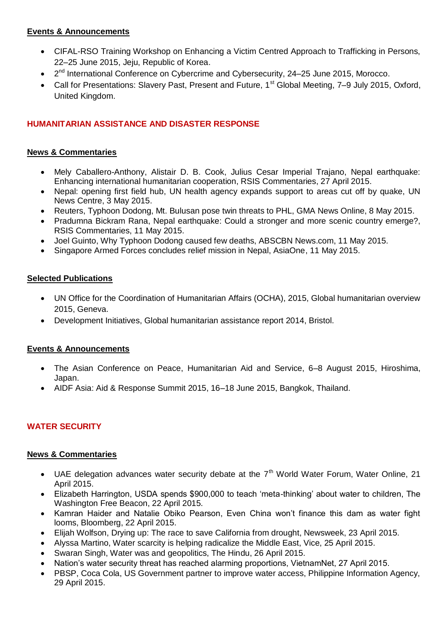# **Events & Announcements**

- [CIFAL-RSO Training Workshop on Enhancing a Victim Centred Approach to Trafficking in Persons,](http://www.baliprocess.net/upcoming-events/2015/6/16397/cifal-rso-training-workshop-on-enhancing-a-victim-centered-approach-to-trafficking-in-persons)  [22–25 June 2015, Jeju, Republic of Korea.](http://www.baliprocess.net/upcoming-events/2015/6/16397/cifal-rso-training-workshop-on-enhancing-a-victim-centered-approach-to-trafficking-in-persons)
- 2<sup>nd</sup> International Conference on Cybercrime [and Cybersecurity, 24–25 June 2015, Morocco.](http://www.icc-cs2015.uae.ma/)
- [Call for Presentations: Slavery Past, Present and Future, 1](http://www.inter-disciplinary.net/probing-the-boundaries/hostility-and-violence/slavery-past-present-and-future/call-for-presentations/)<sup>st</sup> Global Meeting, 7–9 July 2015, Oxford, [United Kingdom.](http://www.inter-disciplinary.net/probing-the-boundaries/hostility-and-violence/slavery-past-present-and-future/call-for-presentations/)

# **HUMANITARIAN ASSISTANCE AND DISASTER RESPONSE**

# **News & Commentaries**

- [Mely Caballero-Anthony, Alistair D. B. Cook, Julius Cesar Imperial Trajano, Nepal earthquake:](http://www.rsis.edu.sg/rsis-publication/nts/co15100-nepal-earthquake-enhancing-international-humanitarian-cooperation/#.VVFkqJOSm1k)  [Enhancing international humanitarian cooperation, RSIS Commentaries, 27 April 2015.](http://www.rsis.edu.sg/rsis-publication/nts/co15100-nepal-earthquake-enhancing-international-humanitarian-cooperation/#.VVFkqJOSm1k)
- [Nepal: opening first field hub, UN health agency expands support to areas cut off by quake, UN](http://www.un.org/apps/news/story.asp?NewsID=50756#.VVF0X5OSm1l)  [News Centre, 3 May 2015.](http://www.un.org/apps/news/story.asp?NewsID=50756#.VVF0X5OSm1l)
- [Reuters, Typhoon Dodong, Mt. Bulusan pose twin threats to PHL, GMA News Online, 8 May 2015.](http://www.gmanetwork.com/news/story/484006/news/nation/typhoon-dodong-mt-bulusan-pose-twin-threats-to-phl)
- [Pradumna Bickram Rana, Nepal earthquake: Could a](http://www.rsis.edu.sg/rsis-publication/cms/co15112-nepal-earthquake-could-a-stronger-and-more-scenic-country-emerge/#.VVFlH5OSm1k) stronger and more scenic country emerge?, [RSIS Commentaries, 11 May 2015.](http://www.rsis.edu.sg/rsis-publication/cms/co15112-nepal-earthquake-could-a-stronger-and-more-scenic-country-emerge/#.VVFlH5OSm1k)
- [Joel Guinto, Why Typhoon Dodong caused few deaths, ABSCBN News.com, 11 May 2015.](http://www.abs-cbnnews.com/focus/05/11/15/why-typhoon-dodong-caused-few-deaths)
- [Singapore Armed Forces concludes relief mission in Nepal, AsiaOne, 11 May 2015.](http://news.asiaone.com/news/singapore/singapore-armed-forces-concludes-relief-mission-nepal#sthash.hp007sGG.dpuf)

## **Selected Publications**

- [UN Office for the Coordination of Humanitarian Affairs \(OCHA\), 2015, Global humanitarian overview](http://reliefweb.int/sites/reliefweb.int/files/resources/GHO-FINAL-web.pdf)  [2015, Geneva.](http://reliefweb.int/sites/reliefweb.int/files/resources/GHO-FINAL-web.pdf)
- [Development Initiatives, Global humanitarian assistance report 2014, Bristol.](http://www.globalhumanitarianassistance.org/wp-content/uploads/2014/09/GHA-Report-2014-interactive.pdf)

# **Events & Announcements**

- [The Asian Conference on Peace, Humanitarian Aid and Service, 6–8 August 2015, Hiroshima,](http://esdfocus.org/peace-humanitarian-aid-service-conference/)  [Japan.](http://esdfocus.org/peace-humanitarian-aid-service-conference/)
- [AIDF Asia: Aid & Response Summit 2015, 16–18 June 2015, Bangkok, Thailand.](http://www.aidforum.org/events/event/aidf-asia-aid-response-summit-2015)

# **WATER SECURITY**

#### **News & Commentaries**

- UAE delegation advances water security debate at the  $7<sup>th</sup>$  World Water Forum, Water Online, 21 [April 2015.](http://www.wateronline.com/doc/uae-delegation-advances-water-security-debate-at-th-world-water-forum-0001)
- [Elizabeth Harrington, USDA spends \\$900,000 to teach "meta-thinking" about water to children, The](http://freebeacon.com/issues/usda-spends-900000-to-teach-meta-thinking-about-water-to-children/)  [Washington Free Beacon, 22 April 2015.](http://freebeacon.com/issues/usda-spends-900000-to-teach-meta-thinking-about-water-to-children/)
- Kamran Haider and Natalie Obiko Pearson, Even China won't finance this dam as water fight [looms, Bloomberg, 22 April 2015.](http://www.bloomberg.com/news/articles/2015-04-22/even-china-won-t-finance-this-pakistan-dam-as-water-fight-looms)
- [Elijah Wolfson, Drying up: The race to save California from drought, Newsweek, 23 April 2015.](http://www.newsweek.com/2015/05/01/can-science-save-california-drought-324087.html)
- [Alyssa Martino, Water scarcity is helping radicalize the Middle East, Vice, 25 April 2015.](http://www.vice.com/read/is-water-scarcity-radicalizing-the-middle-east-235)
- [Swaran Singh, Water was and geopolitics, The Hindu, 26 April 2015.](http://www.thehindu.com/books/books-reviews/water-peace-and-war-book-review/article7141547.ece)
- [Nation"s water security threat has reached alarming proportions, VietnamNet, 27 April 2015.](http://english.vietnamnet.vn/fms/environment/128987/nation-s-water-security-threat-has-reached-alarming-proportions.html)
- [PBSP, Coca Cola, US Government partner to improve water access, Philippine Information Agency,](http://news.pia.gov.ph/article/view/1781430234249/pbsp-coca-cola-us-government-partner-to-improve-water-access)  [29 April 2015.](http://news.pia.gov.ph/article/view/1781430234249/pbsp-coca-cola-us-government-partner-to-improve-water-access)